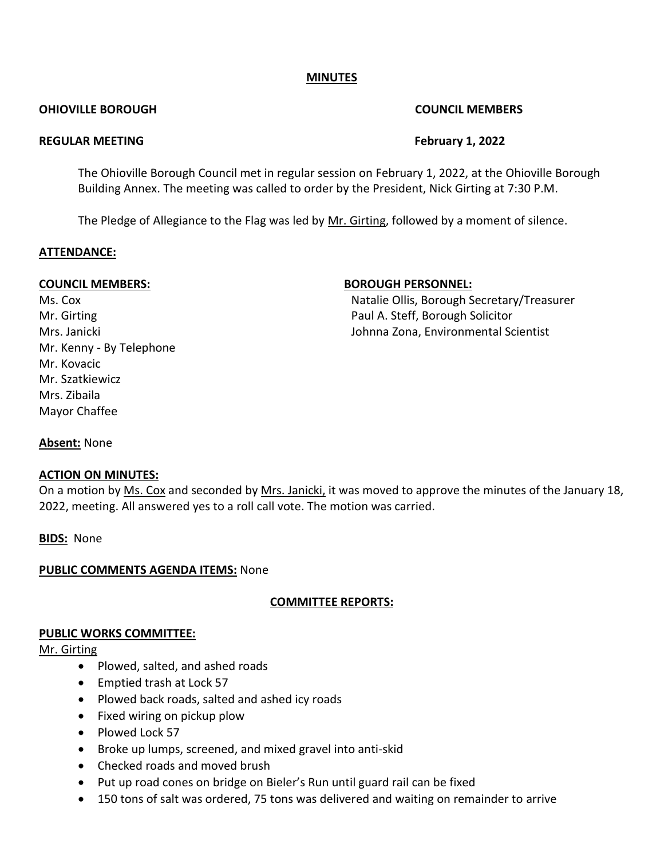# **MINUTES**

#### **OHIOVILLE BOROUGH COUNCIL MEMBERS**

#### **REGULAR MEETING February 1, 2022**

The Ohioville Borough Council met in regular session on February 1, 2022, at the Ohioville Borough Building Annex. The meeting was called to order by the President, Nick Girting at 7:30 P.M.

The Pledge of Allegiance to the Flag was led by Mr. Girting, followed by a moment of silence.

#### **ATTENDANCE:**

Mr. Kenny - By Telephone Mr. Kovacic Mr. Szatkiewicz Mrs. Zibaila Mayor Chaffee

# **COUNCIL MEMBERS: BOROUGH PERSONNEL:**

Ms. Cox **Natalie Ollis, Borough Secretary/Treasurer** Natalie Ollis, Borough Secretary/Treasurer Mr. Girting **Paul A. Steff, Borough Solicitor** Paul A. Steff, Borough Solicitor Mrs. Janicki Johnna Zona, Environmental Scientist

# **Absent:** None

# **ACTION ON MINUTES:**

On a motion by Ms. Cox and seconded by Mrs. Janicki, it was moved to approve the minutes of the January 18, 2022, meeting. All answered yes to a roll call vote. The motion was carried.

**BIDS:** None

# **PUBLIC COMMENTS AGENDA ITEMS:** None

# **COMMITTEE REPORTS:**

# **PUBLIC WORKS COMMITTEE:**

# Mr. Girting

- Plowed, salted, and ashed roads
- Emptied trash at Lock 57
- Plowed back roads, salted and ashed icy roads
- Fixed wiring on pickup plow
- Plowed Lock 57
- Broke up lumps, screened, and mixed gravel into anti-skid
- Checked roads and moved brush
- Put up road cones on bridge on Bieler's Run until guard rail can be fixed
- 150 tons of salt was ordered, 75 tons was delivered and waiting on remainder to arrive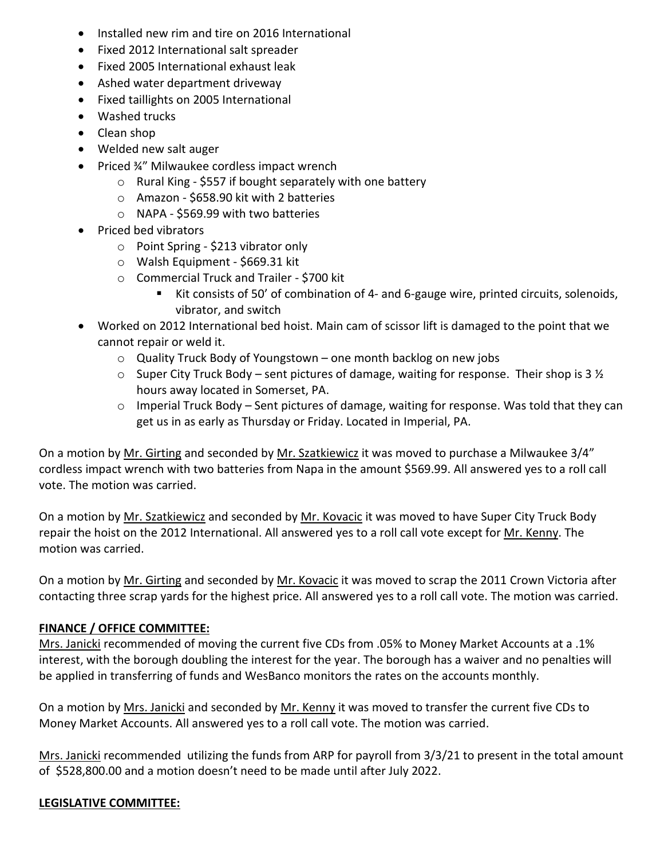- Installed new rim and tire on 2016 International
- Fixed 2012 International salt spreader
- Fixed 2005 International exhaust leak
- Ashed water department driveway
- Fixed taillights on 2005 International
- Washed trucks
- Clean shop
- Welded new salt auger
- Priced ¾" Milwaukee cordless impact wrench
	- o Rural King \$557 if bought separately with one battery
	- o Amazon \$658.90 kit with 2 batteries
	- o NAPA \$569.99 with two batteries
- Priced bed vibrators
	- o Point Spring \$213 vibrator only
	- o Walsh Equipment \$669.31 kit
	- o Commercial Truck and Trailer \$700 kit
		- Kit consists of 50' of combination of 4- and 6-gauge wire, printed circuits, solenoids, vibrator, and switch
- Worked on 2012 International bed hoist. Main cam of scissor lift is damaged to the point that we cannot repair or weld it.
	- o Quality Truck Body of Youngstown one month backlog on new jobs
	- $\circ$  Super City Truck Body sent pictures of damage, waiting for response. Their shop is 3  $\frac{1}{2}$ hours away located in Somerset, PA.
	- o Imperial Truck Body Sent pictures of damage, waiting for response. Was told that they can get us in as early as Thursday or Friday. Located in Imperial, PA.

On a motion by Mr. Girting and seconded by Mr. Szatkiewicz it was moved to purchase a Milwaukee 3/4" cordless impact wrench with two batteries from Napa in the amount \$569.99. All answered yes to a roll call vote. The motion was carried.

On a motion by Mr. Szatkiewicz and seconded by Mr. Kovacic it was moved to have Super City Truck Body repair the hoist on the 2012 International. All answered yes to a roll call vote except for Mr. Kenny. The motion was carried.

On a motion by Mr. Girting and seconded by Mr. Kovacic it was moved to scrap the 2011 Crown Victoria after contacting three scrap yards for the highest price. All answered yes to a roll call vote. The motion was carried.

# **FINANCE / OFFICE COMMITTEE:**

Mrs. Janicki recommended of moving the current five CDs from .05% to Money Market Accounts at a .1% interest, with the borough doubling the interest for the year. The borough has a waiver and no penalties will be applied in transferring of funds and WesBanco monitors the rates on the accounts monthly.

On a motion by Mrs. Janicki and seconded by Mr. Kenny it was moved to transfer the current five CDs to Money Market Accounts. All answered yes to a roll call vote. The motion was carried.

Mrs. Janicki recommended utilizing the funds from ARP for payroll from 3/3/21 to present in the total amount of \$528,800.00 and a motion doesn't need to be made until after July 2022.

# **LEGISLATIVE COMMITTEE:**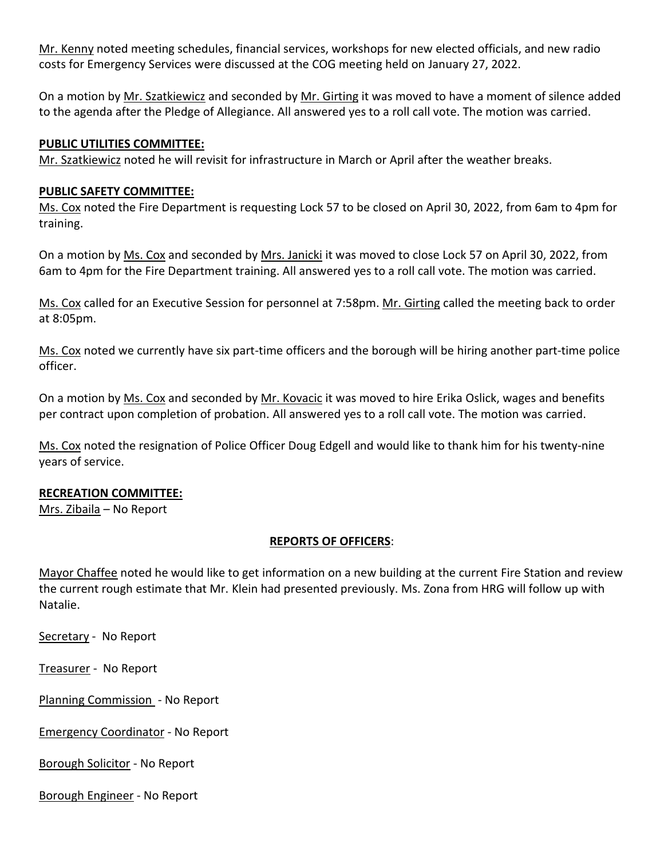Mr. Kenny noted meeting schedules, financial services, workshops for new elected officials, and new radio costs for Emergency Services were discussed at the COG meeting held on January 27, 2022.

On a motion by Mr. Szatkiewicz and seconded by Mr. Girting it was moved to have a moment of silence added to the agenda after the Pledge of Allegiance. All answered yes to a roll call vote. The motion was carried.

### **PUBLIC UTILITIES COMMITTEE:**

Mr. Szatkiewicz noted he will revisit for infrastructure in March or April after the weather breaks.

#### **PUBLIC SAFETY COMMITTEE:**

Ms. Cox noted the Fire Department is requesting Lock 57 to be closed on April 30, 2022, from 6am to 4pm for training.

On a motion by Ms. Cox and seconded by Mrs. Janicki it was moved to close Lock 57 on April 30, 2022, from 6am to 4pm for the Fire Department training. All answered yes to a roll call vote. The motion was carried.

Ms. Cox called for an Executive Session for personnel at 7:58pm. Mr. Girting called the meeting back to order at 8:05pm.

Ms. Cox noted we currently have six part-time officers and the borough will be hiring another part-time police officer.

On a motion by Ms. Cox and seconded by Mr. Kovacic it was moved to hire Erika Oslick, wages and benefits per contract upon completion of probation. All answered yes to a roll call vote. The motion was carried.

Ms. Cox noted the resignation of Police Officer Doug Edgell and would like to thank him for his twenty-nine years of service.

# **RECREATION COMMITTEE:**

Mrs. Zibaila – No Report

# **REPORTS OF OFFICERS**:

Mayor Chaffee noted he would like to get information on a new building at the current Fire Station and review the current rough estimate that Mr. Klein had presented previously. Ms. Zona from HRG will follow up with Natalie.

Secretary - No Report

Treasurer - No Report

Planning Commission - No Report

Emergency Coordinator - No Report

Borough Solicitor - No Report

Borough Engineer - No Report